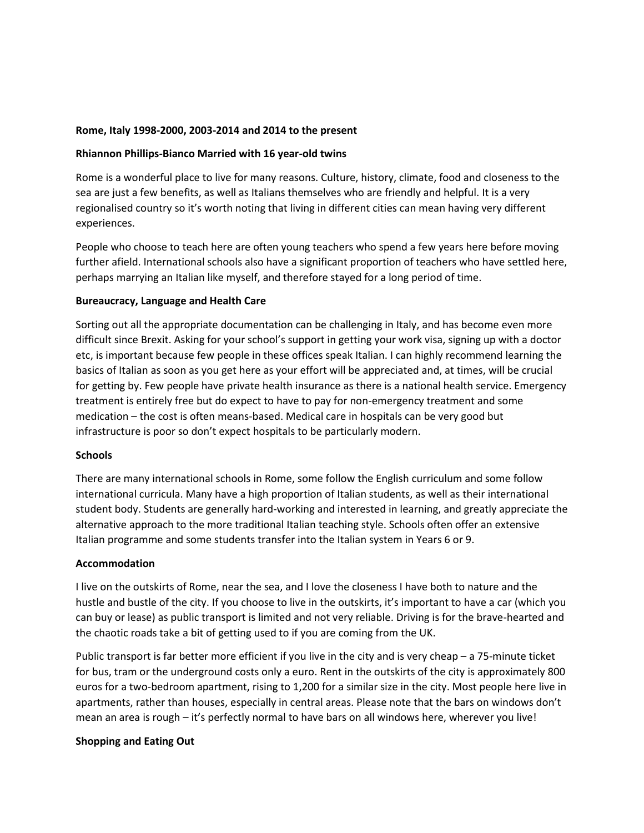# **Rome, Italy 1998-2000, 2003-2014 and 2014 to the present**

# **Rhiannon Phillips-Bianco Married with 16 year-old twins**

Rome is a wonderful place to live for many reasons. Culture, history, climate, food and closeness to the sea are just a few benefits, as well as Italians themselves who are friendly and helpful. It is a very regionalised country so it's worth noting that living in different cities can mean having very different experiences.

People who choose to teach here are often young teachers who spend a few years here before moving further afield. International schools also have a significant proportion of teachers who have settled here, perhaps marrying an Italian like myself, and therefore stayed for a long period of time.

# **Bureaucracy, Language and Health Care**

Sorting out all the appropriate documentation can be challenging in Italy, and has become even more difficult since Brexit. Asking for your school's support in getting your work visa, signing up with a doctor etc, is important because few people in these offices speak Italian. I can highly recommend learning the basics of Italian as soon as you get here as your effort will be appreciated and, at times, will be crucial for getting by. Few people have private health insurance as there is a national health service. Emergency treatment is entirely free but do expect to have to pay for non-emergency treatment and some medication – the cost is often means-based. Medical care in hospitals can be very good but infrastructure is poor so don't expect hospitals to be particularly modern.

### **Schools**

There are many international schools in Rome, some follow the English curriculum and some follow international curricula. Many have a high proportion of Italian students, as well as their international student body. Students are generally hard-working and interested in learning, and greatly appreciate the alternative approach to the more traditional Italian teaching style. Schools often offer an extensive Italian programme and some students transfer into the Italian system in Years 6 or 9.

### **Accommodation**

I live on the outskirts of Rome, near the sea, and I love the closeness I have both to nature and the hustle and bustle of the city. If you choose to live in the outskirts, it's important to have a car (which you can buy or lease) as public transport is limited and not very reliable. Driving is for the brave-hearted and the chaotic roads take a bit of getting used to if you are coming from the UK.

Public transport is far better more efficient if you live in the city and is very cheap – a 75-minute ticket for bus, tram or the underground costs only a euro. Rent in the outskirts of the city is approximately 800 euros for a two-bedroom apartment, rising to 1,200 for a similar size in the city. Most people here live in apartments, rather than houses, especially in central areas. Please note that the bars on windows don't mean an area is rough – it's perfectly normal to have bars on all windows here, wherever you live!

# **Shopping and Eating Out**